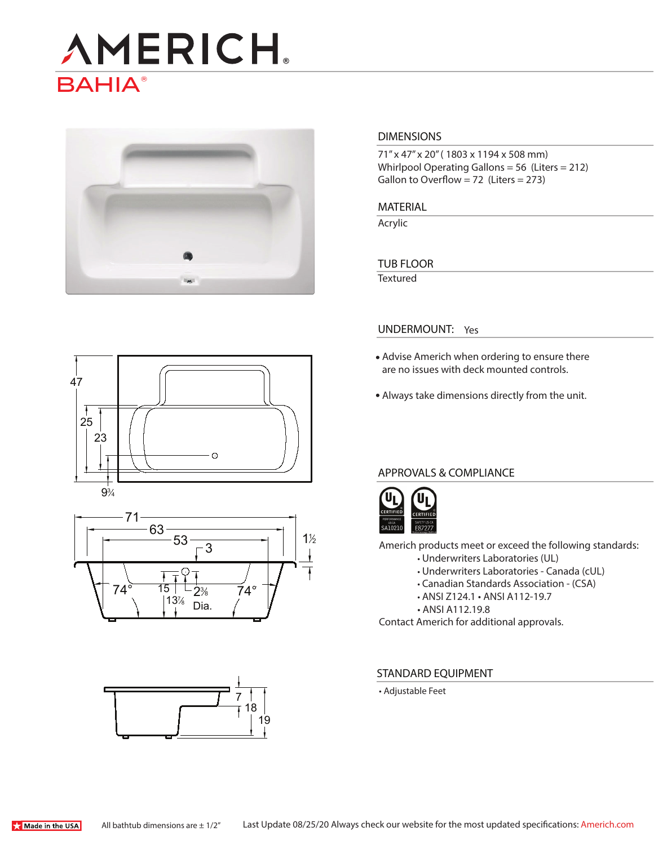# **AMERICH BAHIA®**



### **DIMENSIONS**

71" x 47" x 20" ( 1803 x 1194 x 508 mm) Whirlpool Operating Gallons = 56 (Liters = 212) Gallon to Overflow = 72 (Liters =  $273$ )

**MATERIAL** 

Acrylic

### **TUB FLOOR**

**Textured** 







### **UNDERMOUNT:** Yes

- Advise Americh when ordering to ensure there are no issues with deck mounted controls.
- Always take dimensions directly from the unit.

## **APPROVALS & COMPLIANCE**



Americh products meet or exceed the following standards:

- Underwriters Laboratories (UL)
	- Underwriters Laboratories Canada (cUL)
	- Canadian Standards Association (CSA)
	- ANSI Z124.1 ANSI A112-19.7
	- ANSI A112.19.8

Contact Americh for additional approvals.

#### **STANDARD EQUIPMENT**

• Adjustable Feet